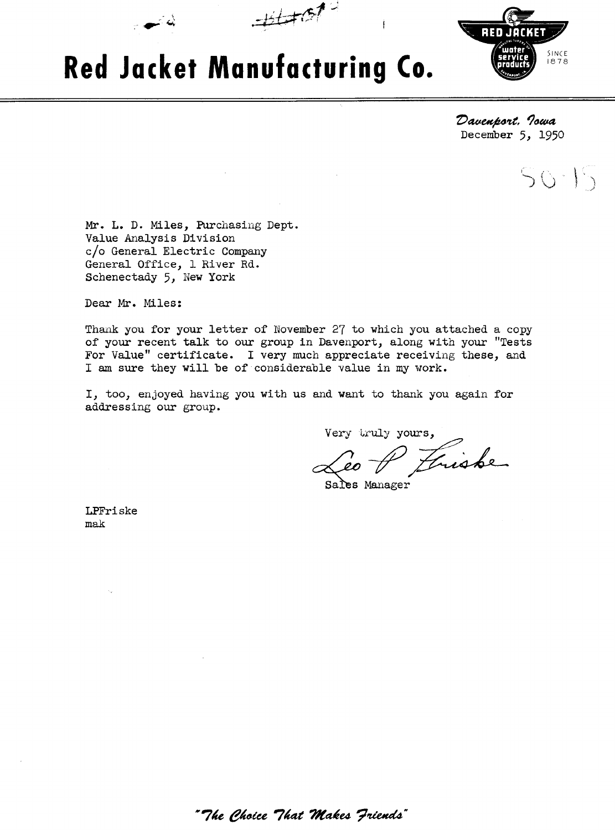

 $\pm\pm\pi$ 



Davenport, Iowa December *5,* 1950

 $50 - 15$ 

Mr. L. D. Miles, Purchasing Dept. Value Analysis Division c/o General Electric Company General Office, 1 River Rd. Schenectady 5, New York

& *<sup>G</sup>*

Dear Mr. Miles:

Thank you for your letter of November 27 to which you attached a copy of your recent talk to our group in Davenport, along with your "Tests For Value" certificate. I very much appreciate receiving these, and I **am** sure they will be of considerable value in my work.

I, too, enjoyed having you with us and want to thank you again for addressing our group.

Very truly yours,<br><u>Leo</u> A *Luisbe* 

Sales Manager

LPFri ske mak

" The Choice That Makes Friends"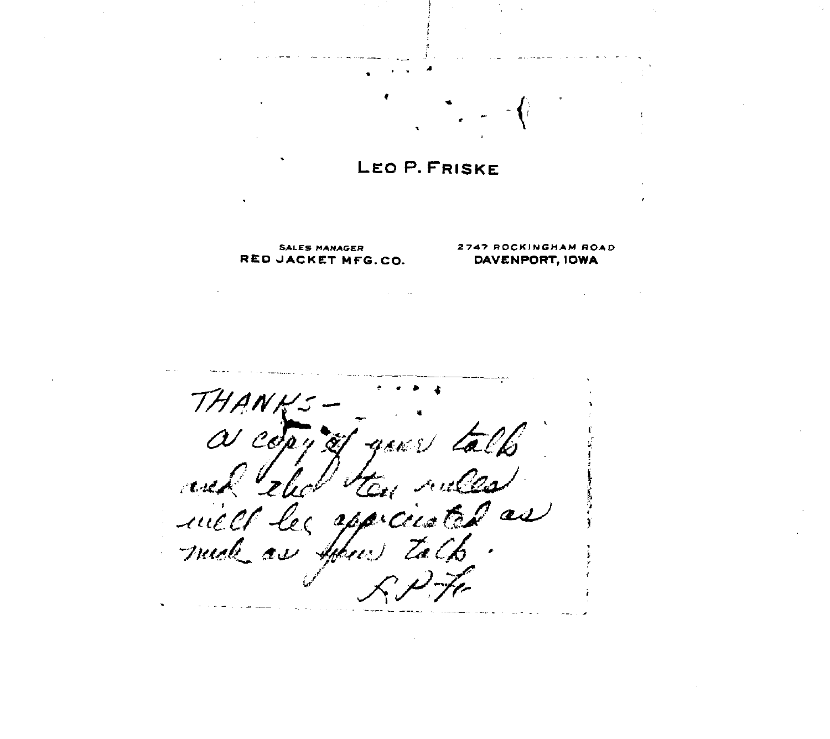## LEO P. FRISKE

**RED JACKET MFG.CO.** 

## **SALES MANAGER** 2747 ROCKINGHAM ROAD **DESCRIPT**<br>JACKET MFG.CO. **DAVENPORT, IOWA**

TH A  $\alpha$  co  $\omega$  is  $\tilde{\alpha}$ A. 'Tizi les appicuated as  $\mu\alpha$ 0 C much as April tol